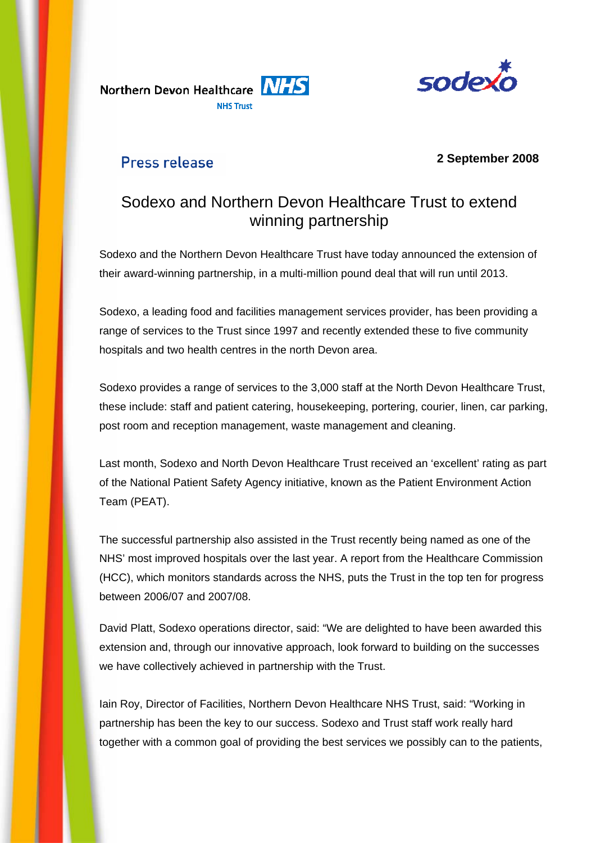Northern Devon Healthcare NHS **NHS Trust** 



## Press release

### **2 September 2008**

# Sodexo and Northern Devon Healthcare Trust to extend winning partnership

Sodexo and the Northern Devon Healthcare Trust have today announced the extension of their award-winning partnership, in a multi-million pound deal that will run until 2013.

Sodexo, a leading food and facilities management services provider, has been providing a range of services to the Trust since 1997 and recently extended these to five community hospitals and two health centres in the north Devon area.

Sodexo provides a range of services to the 3,000 staff at the North Devon Healthcare Trust, these include: staff and patient catering, housekeeping, portering, courier, linen, car parking, post room and reception management, waste management and cleaning.

Last month, Sodexo and North Devon Healthcare Trust received an 'excellent' rating as part of the National Patient Safety Agency initiative, known as the Patient Environment Action Team (PEAT).

The successful partnership also assisted in the Trust recently being named as one of the NHS' most improved hospitals over the last year. A report from the Healthcare Commission (HCC), which monitors standards across the NHS, puts the Trust in the top ten for progress between 2006/07 and 2007/08.

David Platt, Sodexo operations director, said: "We are delighted to have been awarded this extension and, through our innovative approach, look forward to building on the successes we have collectively achieved in partnership with the Trust.

Iain Roy, Director of Facilities, Northern Devon Healthcare NHS Trust, said: "Working in partnership has been the key to our success. Sodexo and Trust staff work really hard together with a common goal of providing the best services we possibly can to the patients,